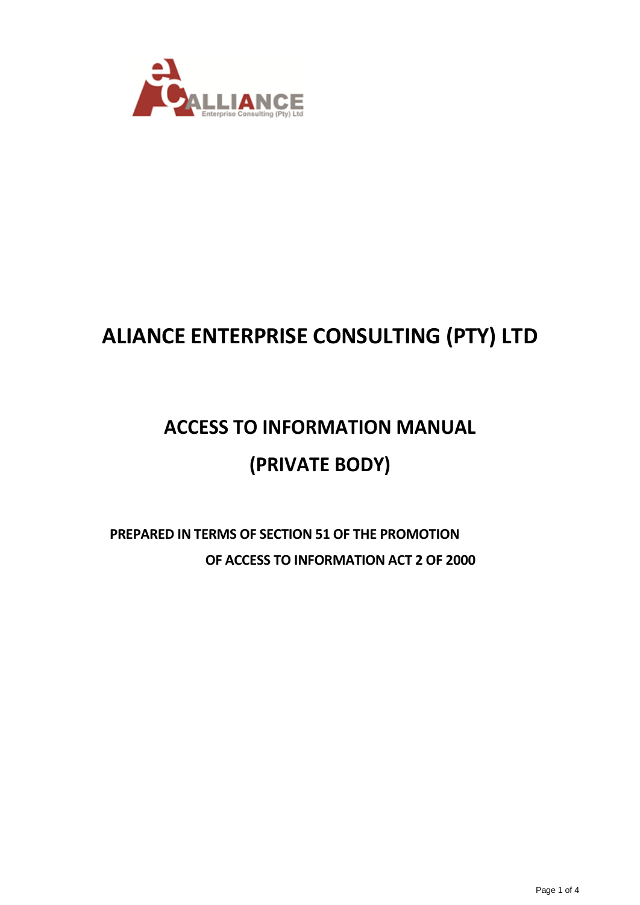

## **ALIANCE ENTERPRISE CONSULTING (PTY) LTD**

# **ACCESS TO INFORMATION MANUAL (PRIVATE BODY)**

### **PREPARED IN TERMS OF SECTION 51 OF THE PROMOTION OF ACCESS TO INFORMATION ACT 2 OF 2000**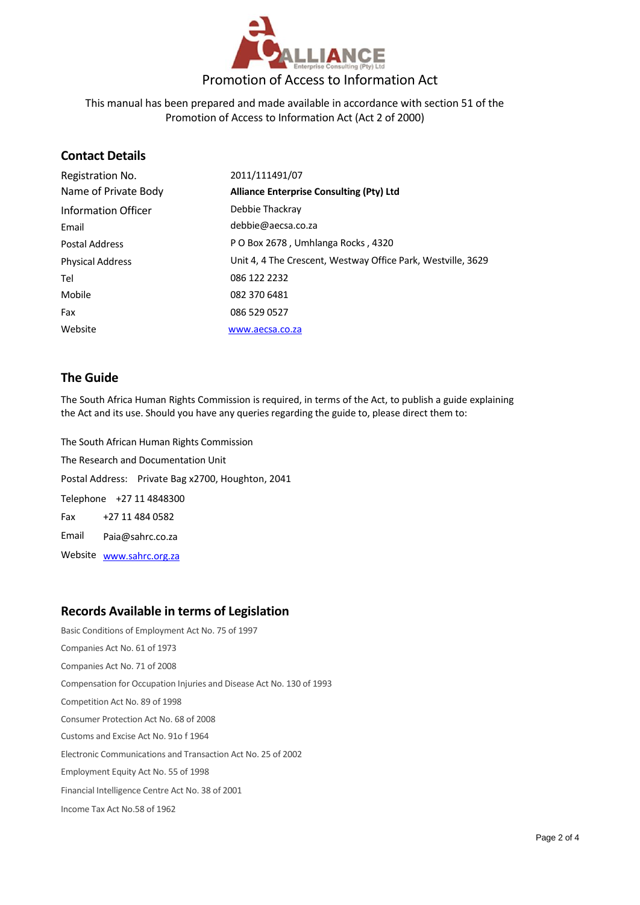

This manual has been prepared and made available in accordance with section 51 of the Promotion of Access to Information Act (Act 2 of 2000)

#### **Contact Details**

| Registration No.        | 2011/111491/07                                               |
|-------------------------|--------------------------------------------------------------|
| Name of Private Body    | <b>Alliance Enterprise Consulting (Pty) Ltd</b>              |
| Information Officer     | Debbie Thackray                                              |
| Email                   | debbie@aecsa.co.za                                           |
| Postal Address          | P O Box 2678, Umhlanga Rocks, 4320                           |
| <b>Physical Address</b> | Unit 4, 4 The Crescent, Westway Office Park, Westville, 3629 |
| Tel                     | 086 122 2232                                                 |
| Mobile                  | 082 370 6481                                                 |
| Fax                     | 086 529 0527                                                 |
| Website                 | www.aecsa.co.za                                              |

#### **The Guide**

The South Africa Human Rights Commission is required, in terms of the Act, to publish a guide explaining the Act and its use. Should you have any queries regarding the guide to, please direct them to:

The South African Human Rights Commission The Research and Documentation Unit Postal Address: Private Bag x2700, Houghton, 2041 Telephone +27 11 4848300 Fax +27 11 484 0582 Email Paia@sahrc.co.za Website [www.sahrc.org.za](http://www.sahrc.org.za/)

#### **Records Available in terms of Legislation**

Basic Conditions of Employment Act No. 75 of 1997 Companies Act No. 61 of 1973 Companies Act No. 71 of 2008 Compensation for Occupation Injuries and Disease Act No. 130 of 1993 Competition Act No. 89 of 1998 Consumer Protection Act No. 68 of 2008 Customs and Excise Act No. 91o f 1964 Electronic Communications and Transaction Act No. 25 of 2002 Employment Equity Act No. 55 of 1998 Financial Intelligence Centre Act No. 38 of 2001 Income Tax Act No.58 of 1962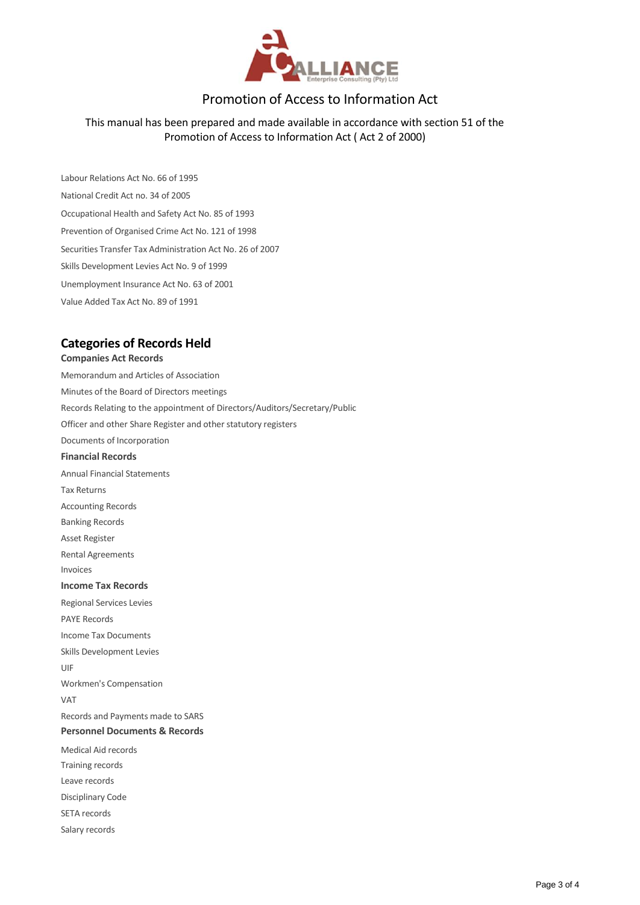

#### Promotion of Access to Information Act

#### This manual has been prepared and made available in accordance with section 51 of the Promotion of Access to Information Act ( Act 2 of 2000)

Labour Relations Act No. 66 of 1995 National Credit Act no. 34 of 2005 Occupational Health and Safety Act No. 85 of 1993 Prevention of Organised Crime Act No. 121 of 1998 Securities Transfer Tax Administration Act No. 26 of 2007 Skills Development Levies Act No. 9 of 1999 Unemployment Insurance Act No. 63 of 2001 Value Added Tax Act No. 89 of 1991

#### **Categories of Records Held**

#### **Companies Act Records**

Memorandum and Articles of Association Minutes of the Board of Directors meetings Records Relating to the appointment of Directors/Auditors/Secretary/Public Officer and other Share Register and other statutory registers Documents of Incorporation **Financial Records**  Annual Financial Statements Tax Returns Accounting Records Banking Records Asset Register Rental Agreements Invoices **Income Tax Records**  Regional Services Levies PAYE Records Income Tax Documents Skills Development Levies UIF Workmen's Compensation VAT Records and Payments made to SARS **Personnel Documents & Records**  Medical Aid records Training records Leave records Disciplinary Code SETA records Salary records